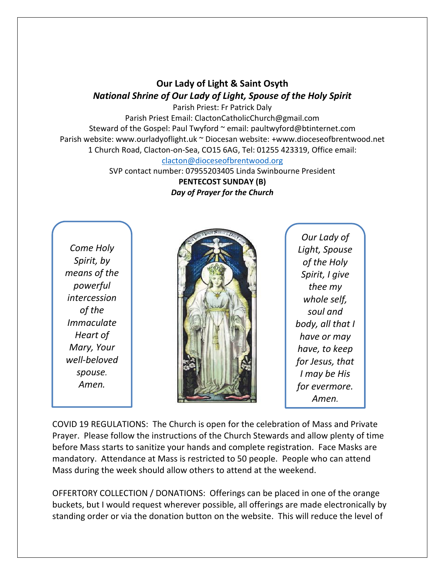## **Our Lady of Light & Saint Osyth** *National Shrine of Our Lady of Light, Spouse of the Holy Spirit*

Parish Priest: Fr Patrick Daly Parish Priest Email: ClactonCatholicChurch@gmail.com Steward of the Gospel: Paul Twyford ~ email: paultwyford@btinternet.com Parish website: www.ourladyoflight.uk ~ Diocesan website: +www.dioceseofbrentwood.net 1 Church Road, Clacton-on-Sea, CO15 6AG, Tel: 01255 423319, Office email: [clacton@dioceseofbrentwood.org](mailto:clacton@dioceseofbrentwood.org)

> SVP contact number: 07955203405 Linda Swinbourne President **PENTECOST SUNDAY (B)** *Day of Prayer for the Church*

*Come Holy Spirit, by means of the powerful intercession of the Immaculate Heart of Mary, Your well-beloved spouse. Amen.*



*Our Lady of Light, Spouse of the Holy Spirit, I give thee my whole self, soul and body, all that I have or may have, to keep for Jesus, that I may be His for evermore. Amen.*

COVID 19 REGULATIONS: The Church is open for the celebration of Mass and Private Prayer. Please follow the instructions of the Church Stewards and allow plenty of time before Mass starts to sanitize your hands and complete registration. Face Masks are mandatory. Attendance at Mass is restricted to 50 people. People who can attend Mass during the week should allow others to attend at the weekend.

OFFERTORY COLLECTION / DONATIONS: Offerings can be placed in one of the orange buckets, but I would request wherever possible, all offerings are made electronically by standing order or via the donation button on the website. This will reduce the level of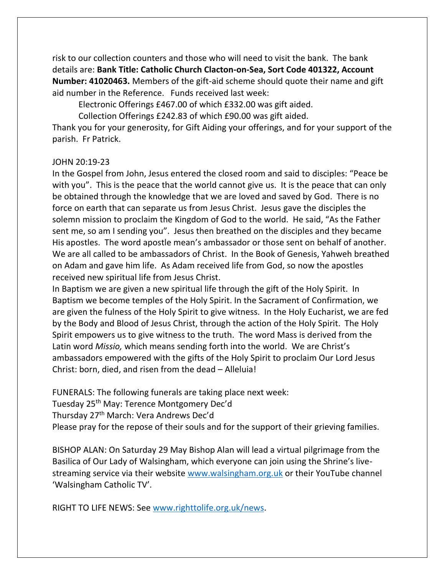risk to our collection counters and those who will need to visit the bank. The bank details are: **Bank Title: Catholic Church Clacton-on-Sea, Sort Code 401322, Account Number: 41020463.** Members of the gift-aid scheme should quote their name and gift aid number in the Reference. Funds received last week:

Electronic Offerings £467.00 of which £332.00 was gift aided.

Collection Offerings £242.83 of which £90.00 was gift aided.

Thank you for your generosity, for Gift Aiding your offerings, and for your support of the parish. Fr Patrick.

## JOHN 20:19-23

In the Gospel from John, Jesus entered the closed room and said to disciples: "Peace be with you". This is the peace that the world cannot give us. It is the peace that can only be obtained through the knowledge that we are loved and saved by God. There is no force on earth that can separate us from Jesus Christ. Jesus gave the disciples the solemn mission to proclaim the Kingdom of God to the world. He said, "As the Father sent me, so am I sending you". Jesus then breathed on the disciples and they became His apostles. The word apostle mean's ambassador or those sent on behalf of another. We are all called to be ambassadors of Christ. In the Book of Genesis, Yahweh breathed on Adam and gave him life. As Adam received life from God, so now the apostles received new spiritual life from Jesus Christ.

In Baptism we are given a new spiritual life through the gift of the Holy Spirit. In Baptism we become temples of the Holy Spirit. In the Sacrament of Confirmation, we are given the fulness of the Holy Spirit to give witness. In the Holy Eucharist, we are fed by the Body and Blood of Jesus Christ, through the action of the Holy Spirit. The Holy Spirit empowers us to give witness to the truth. The word Mass is derived from the Latin word *Missio,* which means sending forth into the world. We are Christ's ambassadors empowered with the gifts of the Holy Spirit to proclaim Our Lord Jesus Christ: born, died, and risen from the dead – Alleluia!

FUNERALS: The following funerals are taking place next week:

Tuesday 25<sup>th</sup> May: Terence Montgomery Dec'd

Thursday 27th March: Vera Andrews Dec'd

Please pray for the repose of their souls and for the support of their grieving families.

BISHOP ALAN: On Saturday 29 May Bishop Alan will lead a virtual pilgrimage from the Basilica of Our Lady of Walsingham, which everyone can join using the Shrine's livestreaming service via their website [www.walsingham.org.uk](http://www.walsingham.org.uk/) or their YouTube channel 'Walsingham Catholic TV'.

RIGHT TO LIFE NEWS: See [www.righttolife.org.uk/news.](http://www.righttolife.org.uk/news)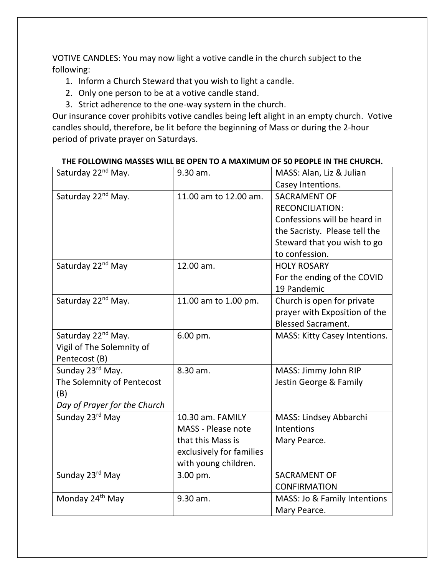VOTIVE CANDLES: You may now light a votive candle in the church subject to the following:

- 1. Inform a Church Steward that you wish to light a candle.
- 2. Only one person to be at a votive candle stand.
- 3. Strict adherence to the one-way system in the church.

Our insurance cover prohibits votive candles being left alight in an empty church. Votive candles should, therefore, be lit before the beginning of Mass or during the 2-hour period of private prayer on Saturdays.

| Saturday 22 <sup>nd</sup> May. | 9.30 am.                  | MASS: Alan, Liz & Julian             |
|--------------------------------|---------------------------|--------------------------------------|
|                                |                           | Casey Intentions.                    |
| Saturday 22 <sup>nd</sup> May. | 11.00 am to 12.00 am.     | <b>SACRAMENT OF</b>                  |
|                                |                           | <b>RECONCILIATION:</b>               |
|                                |                           | Confessions will be heard in         |
|                                |                           | the Sacristy. Please tell the        |
|                                |                           | Steward that you wish to go          |
|                                |                           | to confession.                       |
| Saturday 22 <sup>nd</sup> May  | 12.00 am.                 | <b>HOLY ROSARY</b>                   |
|                                |                           | For the ending of the COVID          |
|                                |                           | 19 Pandemic                          |
| Saturday 22 <sup>nd</sup> May. | 11.00 am to 1.00 pm.      | Church is open for private           |
|                                |                           | prayer with Exposition of the        |
|                                |                           | <b>Blessed Sacrament.</b>            |
| Saturday 22 <sup>nd</sup> May. | 6.00 pm.                  | <b>MASS: Kitty Casey Intentions.</b> |
| Vigil of The Solemnity of      |                           |                                      |
| Pentecost (B)                  |                           |                                      |
| Sunday 23rd May.               | 8.30 am.                  | MASS: Jimmy John RIP                 |
| The Solemnity of Pentecost     |                           | Jestin George & Family               |
| (B)                            |                           |                                      |
| Day of Prayer for the Church   |                           |                                      |
| Sunday 23rd May                | 10.30 am. FAMILY          | MASS: Lindsey Abbarchi               |
|                                | <b>MASS - Please note</b> | Intentions                           |
|                                | that this Mass is         | Mary Pearce.                         |
|                                | exclusively for families  |                                      |
|                                | with young children.      |                                      |
| Sunday 23rd May                | 3.00 pm.                  | <b>SACRAMENT OF</b>                  |
|                                |                           | <b>CONFIRMATION</b>                  |
| Monday 24 <sup>th</sup> May    | 9.30 am.                  | MASS: Jo & Family Intentions         |
|                                |                           | Mary Pearce.                         |

## **THE FOLLOWING MASSES WILL BE OPEN TO A MAXIMUM OF 50 PEOPLE IN THE CHURCH.**